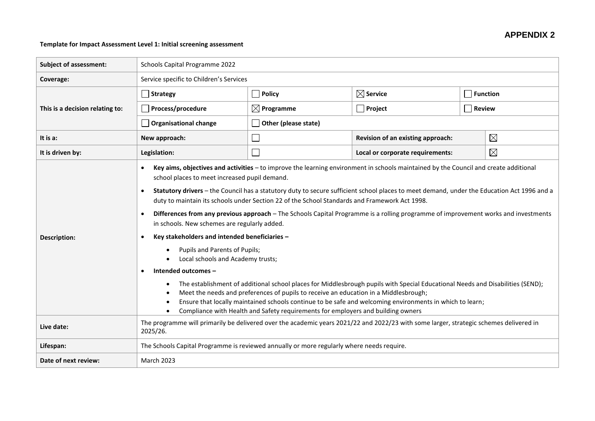## **APPENDIX 2**

## **Template for Impact Assessment Level 1: Initial screening assessment**

| <b>Subject of assessment:</b>   | Schools Capital Programme 2022                                                                                                                                                                                                                                                                                                                                                                                                                                                                                                                                                                                                                                                                                                                                                                                                                                                                                                                                                                                                                                                                                                                                                               |                       |                                                  |               |                 |  |  |
|---------------------------------|----------------------------------------------------------------------------------------------------------------------------------------------------------------------------------------------------------------------------------------------------------------------------------------------------------------------------------------------------------------------------------------------------------------------------------------------------------------------------------------------------------------------------------------------------------------------------------------------------------------------------------------------------------------------------------------------------------------------------------------------------------------------------------------------------------------------------------------------------------------------------------------------------------------------------------------------------------------------------------------------------------------------------------------------------------------------------------------------------------------------------------------------------------------------------------------------|-----------------------|--------------------------------------------------|---------------|-----------------|--|--|
| Coverage:                       | Service specific to Children's Services                                                                                                                                                                                                                                                                                                                                                                                                                                                                                                                                                                                                                                                                                                                                                                                                                                                                                                                                                                                                                                                                                                                                                      |                       |                                                  |               |                 |  |  |
|                                 | Strategy                                                                                                                                                                                                                                                                                                                                                                                                                                                                                                                                                                                                                                                                                                                                                                                                                                                                                                                                                                                                                                                                                                                                                                                     | $\Box$ Policy         | $\boxtimes$ Service                              |               | <b>Function</b> |  |  |
| This is a decision relating to: | Process/procedure                                                                                                                                                                                                                                                                                                                                                                                                                                                                                                                                                                                                                                                                                                                                                                                                                                                                                                                                                                                                                                                                                                                                                                            | $\boxtimes$ Programme | $\Box$ Project                                   | <b>Review</b> |                 |  |  |
|                                 | Organisational change                                                                                                                                                                                                                                                                                                                                                                                                                                                                                                                                                                                                                                                                                                                                                                                                                                                                                                                                                                                                                                                                                                                                                                        | Other (please state)  |                                                  |               |                 |  |  |
| It is a:                        | New approach:                                                                                                                                                                                                                                                                                                                                                                                                                                                                                                                                                                                                                                                                                                                                                                                                                                                                                                                                                                                                                                                                                                                                                                                |                       | $\boxtimes$<br>Revision of an existing approach: |               |                 |  |  |
| It is driven by:                | Legislation:                                                                                                                                                                                                                                                                                                                                                                                                                                                                                                                                                                                                                                                                                                                                                                                                                                                                                                                                                                                                                                                                                                                                                                                 |                       | $\boxtimes$<br>Local or corporate requirements:  |               |                 |  |  |
| <b>Description:</b>             | Key aims, objectives and activities - to improve the learning environment in schools maintained by the Council and create additional<br>$\bullet$<br>school places to meet increased pupil demand.<br>Statutory drivers - the Council has a statutory duty to secure sufficient school places to meet demand, under the Education Act 1996 and a<br>$\bullet$<br>duty to maintain its schools under Section 22 of the School Standards and Framework Act 1998.<br>Differences from any previous approach - The Schools Capital Programme is a rolling programme of improvement works and investments<br>$\bullet$<br>in schools. New schemes are regularly added.<br>Key stakeholders and intended beneficiaries -<br>$\bullet$<br>Pupils and Parents of Pupils;<br>Local schools and Academy trusts;<br>Intended outcomes -<br>$\bullet$<br>The establishment of additional school places for Middlesbrough pupils with Special Educational Needs and Disabilities (SEND);<br>$\bullet$<br>Meet the needs and preferences of pupils to receive an education in a Middlesbrough;<br>Ensure that locally maintained schools continue to be safe and welcoming environments in which to learn; |                       |                                                  |               |                 |  |  |
| Live date:                      | Compliance with Health and Safety requirements for employers and building owners<br>The programme will primarily be delivered over the academic years 2021/22 and 2022/23 with some larger, strategic schemes delivered in<br>2025/26.                                                                                                                                                                                                                                                                                                                                                                                                                                                                                                                                                                                                                                                                                                                                                                                                                                                                                                                                                       |                       |                                                  |               |                 |  |  |
| Lifespan:                       | The Schools Capital Programme is reviewed annually or more regularly where needs require.                                                                                                                                                                                                                                                                                                                                                                                                                                                                                                                                                                                                                                                                                                                                                                                                                                                                                                                                                                                                                                                                                                    |                       |                                                  |               |                 |  |  |
| Date of next review:            | <b>March 2023</b>                                                                                                                                                                                                                                                                                                                                                                                                                                                                                                                                                                                                                                                                                                                                                                                                                                                                                                                                                                                                                                                                                                                                                                            |                       |                                                  |               |                 |  |  |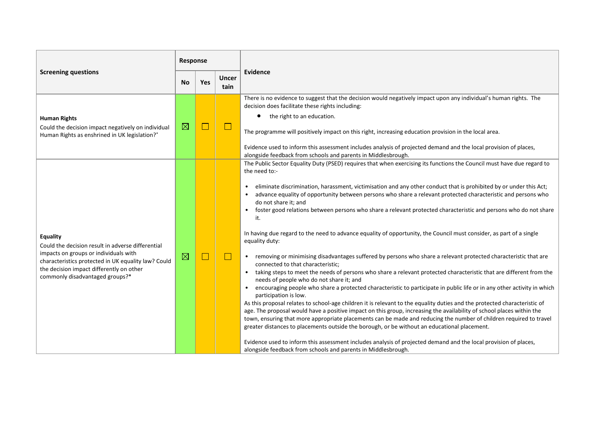| <b>Screening questions</b>                                                                                                                                                                                                                          |             | Response   |                      |                                                                                                                                                                                                                                                                                                                                                                                                                                                                                                                                                                                                                                                                                                                                                                                                                                                                                                                                                                                                                                                                                                                                                                                                                                                                                                                                                                                                                                                                                                                                                                                                                                                                                                                                                                                                                                                                                               |  |
|-----------------------------------------------------------------------------------------------------------------------------------------------------------------------------------------------------------------------------------------------------|-------------|------------|----------------------|-----------------------------------------------------------------------------------------------------------------------------------------------------------------------------------------------------------------------------------------------------------------------------------------------------------------------------------------------------------------------------------------------------------------------------------------------------------------------------------------------------------------------------------------------------------------------------------------------------------------------------------------------------------------------------------------------------------------------------------------------------------------------------------------------------------------------------------------------------------------------------------------------------------------------------------------------------------------------------------------------------------------------------------------------------------------------------------------------------------------------------------------------------------------------------------------------------------------------------------------------------------------------------------------------------------------------------------------------------------------------------------------------------------------------------------------------------------------------------------------------------------------------------------------------------------------------------------------------------------------------------------------------------------------------------------------------------------------------------------------------------------------------------------------------------------------------------------------------------------------------------------------------|--|
|                                                                                                                                                                                                                                                     |             | <b>Yes</b> | <b>Uncer</b><br>tain | Evidence                                                                                                                                                                                                                                                                                                                                                                                                                                                                                                                                                                                                                                                                                                                                                                                                                                                                                                                                                                                                                                                                                                                                                                                                                                                                                                                                                                                                                                                                                                                                                                                                                                                                                                                                                                                                                                                                                      |  |
| <b>Human Rights</b><br>Could the decision impact negatively on individual<br>Human Rights as enshrined in UK legislation?*                                                                                                                          | $\boxtimes$ | $\Box$     | $\Box$               | There is no evidence to suggest that the decision would negatively impact upon any individual's human rights. The<br>decision does facilitate these rights including:<br>the right to an education.<br>The programme will positively impact on this right, increasing education provision in the local area.<br>Evidence used to inform this assessment includes analysis of projected demand and the local provision of places,<br>alongside feedback from schools and parents in Middlesbrough.                                                                                                                                                                                                                                                                                                                                                                                                                                                                                                                                                                                                                                                                                                                                                                                                                                                                                                                                                                                                                                                                                                                                                                                                                                                                                                                                                                                             |  |
| <b>Equality</b><br>Could the decision result in adverse differential<br>impacts on groups or individuals with<br>characteristics protected in UK equality law? Could<br>the decision impact differently on other<br>commonly disadvantaged groups?* | $\boxtimes$ | $\Box$     | $\Box$               | The Public Sector Equality Duty (PSED) requires that when exercising its functions the Council must have due regard to<br>the need to:-<br>eliminate discrimination, harassment, victimisation and any other conduct that is prohibited by or under this Act;<br>$\bullet$<br>advance equality of opportunity between persons who share a relevant protected characteristic and persons who<br>$\bullet$<br>do not share it; and<br>foster good relations between persons who share a relevant protected characteristic and persons who do not share<br>$\bullet$<br>it.<br>In having due regard to the need to advance equality of opportunity, the Council must consider, as part of a single<br>equality duty:<br>• removing or minimising disadvantages suffered by persons who share a relevant protected characteristic that are<br>connected to that characteristic;<br>taking steps to meet the needs of persons who share a relevant protected characteristic that are different from the<br>$\bullet$<br>needs of people who do not share it; and<br>encouraging people who share a protected characteristic to participate in public life or in any other activity in which<br>$\bullet$<br>participation is low.<br>As this proposal relates to school-age children it is relevant to the equality duties and the protected characteristic of<br>age. The proposal would have a positive impact on this group, increasing the availability of school places within the<br>town, ensuring that more appropriate placements can be made and reducing the number of children required to travel<br>greater distances to placements outside the borough, or be without an educational placement.<br>Evidence used to inform this assessment includes analysis of projected demand and the local provision of places,<br>alongside feedback from schools and parents in Middlesbrough. |  |